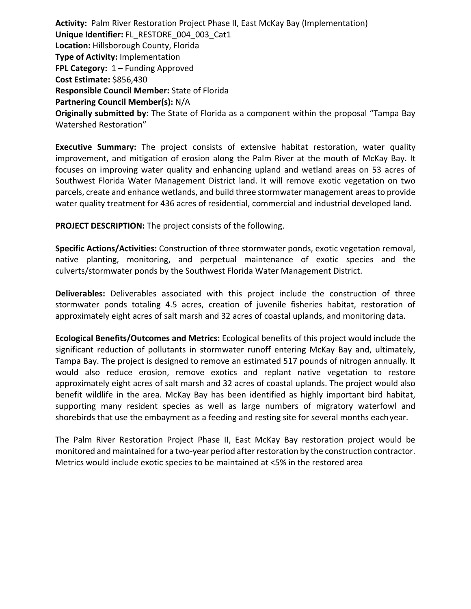**Activity:** Palm River Restoration Project Phase II, East McKay Bay (Implementation) **Unique Identifier:** FL\_RESTORE\_004\_003\_Cat1 **Location:** Hillsborough County, Florida **Type of Activity:** Implementation **FPL Category:** 1 – Funding Approved **Cost Estimate:** \$856,430 **Responsible Council Member:** State of Florida **Partnering Council Member(s):** N/A **Originally submitted by:** The State of Florida as a component within the proposal "Tampa Bay Watershed Restoration"

**Executive Summary:** The project consists of extensive habitat restoration, water quality improvement, and mitigation of erosion along the Palm River at the mouth of McKay Bay. It focuses on improving water quality and enhancing upland and wetland areas on 53 acres of Southwest Florida Water Management District land. It will remove exotic vegetation on two parcels, create and enhance wetlands, and build three stormwater management areas to provide water quality treatment for 436 acres of residential, commercial and industrial developed land.

**PROJECT DESCRIPTION:** The project consists of the following.

**Specific Actions/Activities:** Construction of three stormwater ponds, exotic vegetation removal, native planting, monitoring, and perpetual maintenance of exotic species and the culverts/stormwater ponds by the Southwest Florida Water Management District.

**Deliverables:** Deliverables associated with this project include the construction of three stormwater ponds totaling 4.5 acres, creation of juvenile fisheries habitat, restoration of approximately eight acres of salt marsh and 32 acres of coastal uplands, and monitoring data.

**Ecological Benefits/Outcomes and Metrics:** Ecological benefits of this project would include the significant reduction of pollutants in stormwater runoff entering McKay Bay and, ultimately, Tampa Bay. The project is designed to remove an estimated 517 pounds of nitrogen annually. It would also reduce erosion, remove exotics and replant native vegetation to restore approximately eight acres of salt marsh and 32 acres of coastal uplands. The project would also benefit wildlife in the area. McKay Bay has been identified as highly important bird habitat, supporting many resident species as well as large numbers of migratory waterfowl and shorebirds that use the embayment as a feeding and resting site for several months eachyear.

The Palm River Restoration Project Phase II, East McKay Bay restoration project would be monitored and maintained for a two-year period after restoration by the construction contractor. Metrics would include exotic species to be maintained at <5% in the restored area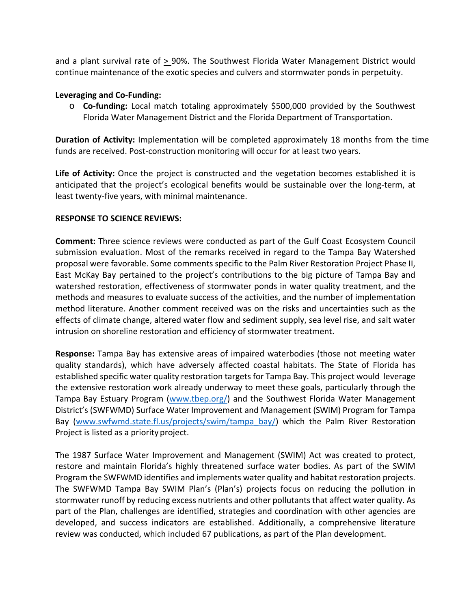and a plant survival rate of > 90%. The Southwest Florida Water Management District would continue maintenance of the exotic species and culvers and stormwater ponds in perpetuity.

## **Leveraging and Co-Funding:**

o **Co-funding:** Local match totaling approximately \$500,000 provided by the Southwest Florida Water Management District and the Florida Department of Transportation.

**Duration of Activity:** Implementation will be completed approximately 18 months from the time funds are received. Post-construction monitoring will occur for at least two years.

**Life of Activity:** Once the project is constructed and the vegetation becomes established it is anticipated that the project's ecological benefits would be sustainable over the long-term, at least twenty-five years, with minimal maintenance.

## **RESPONSE TO SCIENCE REVIEWS:**

**Comment:** Three science reviews were conducted as part of the Gulf Coast Ecosystem Council submission evaluation. Most of the remarks received in regard to the Tampa Bay Watershed proposal were favorable. Some comments specific to the Palm River Restoration Project Phase II, East McKay Bay pertained to the project's contributions to the big picture of Tampa Bay and watershed restoration, effectiveness of stormwater ponds in water quality treatment, and the methods and measures to evaluate success of the activities, and the number of implementation method literature. Another comment received was on the risks and uncertainties such as the effects of climate change, altered water flow and sediment supply, sea level rise, and salt water intrusion on shoreline restoration and efficiency of stormwater treatment.

**Response:** Tampa Bay has extensive areas of impaired waterbodies (those not meeting water quality standards), which have adversely affected coastal habitats. The State of Florida has established specific water quality restoration targets for Tampa Bay. This project would leverage the extensive restoration work already underway to meet these goals, particularly through the Tampa Bay Estuary Program [\(www.tbep.org/\)](http://www.tbep.org/) and the Southwest Florida Water Management District's (SWFWMD) Surface Water Improvement and Management (SWIM) Program for Tampa Bay [\(www.swfwmd.state.fl.us/projects/swim/tampa\\_bay/\)](http://www.swfwmd.state.fl.us/projects/swim/tampa_bay/) which the Palm River Restoration Project is listed as a priority project.

The 1987 Surface Water Improvement and Management (SWIM) Act was created to protect, restore and maintain Florida's highly threatened surface water bodies. As part of the SWIM Program the SWFWMD identifies and implements water quality and habitat restoration projects. The SWFWMD Tampa Bay SWIM Plan's (Plan's) projects focus on reducing the pollution in stormwater runoff by reducing excess nutrients and other pollutants that affect water quality. As part of the Plan, challenges are identified, strategies and coordination with other agencies are developed, and success indicators are established. Additionally, a comprehensive literature review was conducted, which included 67 publications, as part of the Plan development.